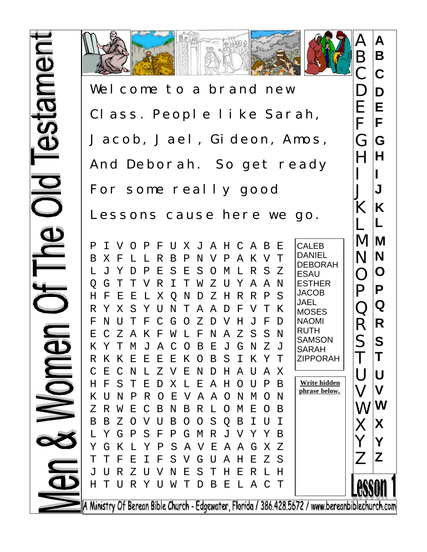

Wel come to a brand new Class. People like Sarah, Jacob, Jael, Gideon, Amos, And Deborah. So get ready For some really good Lessons cause here we go.

P I V O P F U X J A H C A B E B X F L L R B P N V P A K V T L J Y D P E S E S O M L R S Z Q G T T V R I T W Z U Y A A N H F E E L X Q N D Z H R R P S R Y X S Y U N T A A D F V T K F N U T F C G O Z D V H J F D E C Z A K F W L F N A Z S S N K Y T M J A C O B E J G N Z J R K K E E E E K O B S I K Y T C E C N L Z V E N D H A U A X H F S T E D X L E A H O U P B K U N P R O E V A A O N M O N Z R W E C B N B R L O M E O B B B Z O V U B O O S Q B I U I L Y G P S F P G M R J V Y Y B Y G K L Y P S A V E A A G X Z T T F E I F S V G U A H E Z S J U R Z U V N E S T H E R L H H T U R Y U W T D B E L A C T CALEB DANIEL DEBORAH ESAU ESTHER JACOB JAEL **MOSES** NAOMI RUTH **SAMSON** SARAH ZIPPORAH **Write hidden phrase below.**

A Ministry Of Berean Bible Church - Edgewater, Florida / 386.428.5672 / www.bereanbiblechurch.com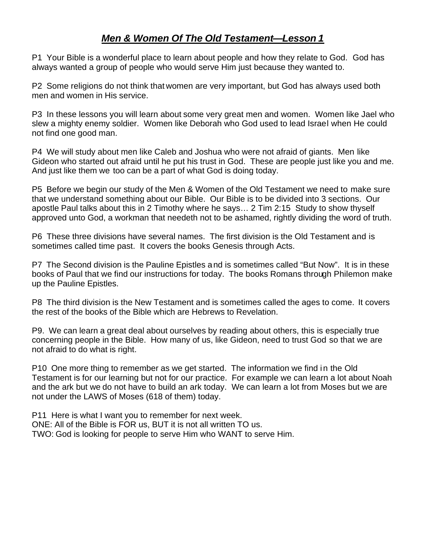### *Men & Women Of The Old Testament—Lesson 1*

P1 Your Bible is a wonderful place to learn about people and how they relate to God. God has always wanted a group of people who would serve Him just because they wanted to.

P2 Some religions do not think that women are very important, but God has always used both men and women in His service.

P3 In these lessons you will learn about some very great men and women. Women like Jael who slew a mighty enemy soldier. Women like Deborah who God used to lead Israel when He could not find one good man.

P4 We will study about men like Caleb and Joshua who were not afraid of giants. Men like Gideon who started out afraid until he put his trust in God. These are people just like you and me. And just like them we too can be a part of what God is doing today.

P5 Before we begin our study of the Men & Women of the Old Testament we need to make sure that we understand something about our Bible. Our Bible is to be divided into 3 sections. Our apostle Paul talks about this in 2 Timothy where he says… 2 Tim 2:15 Study to show thyself approved unto God, a workman that needeth not to be ashamed, rightly dividing the word of truth.

P6 These three divisions have several names. The first division is the Old Testament and is sometimes called time past. It covers the books Genesis through Acts.

P7 The Second division is the Pauline Epistles and is sometimes called "But Now". It is in these books of Paul that we find our instructions for today. The books Romans through Philemon make up the Pauline Epistles.

P8 The third division is the New Testament and is sometimes called the ages to come. It covers the rest of the books of the Bible which are Hebrews to Revelation.

P9. We can learn a great deal about ourselves by reading about others, this is especially true concerning people in the Bible. How many of us, like Gideon, need to trust God so that we are not afraid to do what is right.

P10 One more thing to remember as we get started. The information we find in the Old Testament is for our learning but not for our practice. For example we can learn a lot about Noah and the ark but we do not have to build an ark today. We can learn a lot from Moses but we are not under the LAWS of Moses (618 of them) today.

P11 Here is what I want you to remember for next week. ONE: All of the Bible is FOR us, BUT it is not all written TO us. TWO: God is looking for people to serve Him who WANT to serve Him.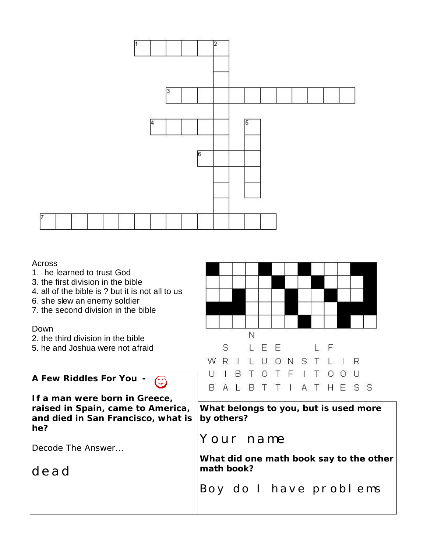

#### Across

- 1. he learned to trust God
- 3. the first division in the bible
- 4. all of the bible is ? but it is not all to us
- 6. she slew an enemy soldier
- 7. the second division in the bible

#### Down

- 2. the third division in the bible
- 5. he and Joshua were not afraid

**A Few Riddles For You -** 

**If a man were born in Greece, raised in Spain, came to America, and died in San Francisco, what is he?**

Decode The Answer...

dead



**What belongs to you, but is used more by others?**

## Your name

**What did one math book say to the other math book?**

Boy do I have problems